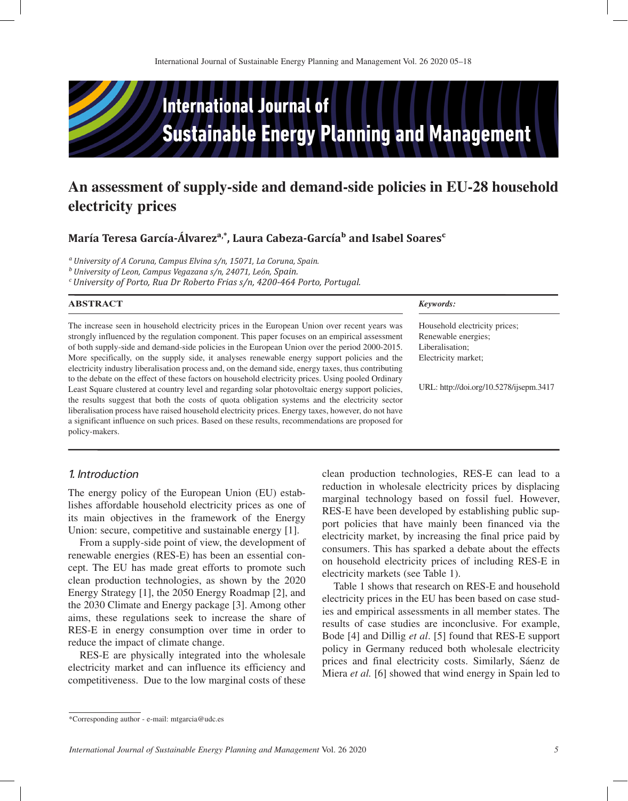

# **An assessment of supply-side and demand-side policies in EU-28 household electricity prices**

**María Teresa García-Álvareza,\*, Laura Cabeza-Garcíab and Isabel Soaresc**

*a University of A Coruna, Campus Elvina s/n, 15071, La Coruna, Spain.* 

*b University of Leon, Campus Vegazana s/n, 24071, León, Spain.* 

*c University of Porto, Rua Dr Roberto Frias s/n, 4200-464 Porto, Portugal.* 

#### **ABSTRACT**

The increase seen in household electricity prices in the European Union over recent years was strongly influenced by the regulation component. This paper focuses on an empirical assessment of both supply-side and demand-side policies in the European Union over the period 2000-2015. More specifically, on the supply side, it analyses renewable energy support policies and the electricity industry liberalisation process and, on the demand side, energy taxes, thus contributing to the debate on the effect of these factors on household electricity prices. Using pooled Ordinary Least Square clustered at country level and regarding solar photovoltaic energy support policies, the results suggest that both the costs of quota obligation systems and the electricity sector liberalisation process have raised household electricity prices. Energy taxes, however, do not have a significant influence on such prices. Based on these results, recommendations are proposed for policy-makers.

#### *Keywords:*

Household electricity prices; Renewable energies; Liberalisation; Electricity market;

URL: http://doi.org/10.5278/ijsepm.3417

# *1. Introduction*

The energy policy of the European Union (EU) establishes affordable household electricity prices as one of its main objectives in the framework of the Energy Union: secure, competitive and sustainable energy [1].

From a supply-side point of view, the development of renewable energies (RES-E) has been an essential concept. The EU has made great efforts to promote such clean production technologies, as shown by the 2020 Energy Strategy [1], the 2050 Energy Roadmap [2], and the 2030 Climate and Energy package [3]. Among other aims, these regulations seek to increase the share of RES-E in energy consumption over time in order to reduce the impact of climate change.

RES-E are physically integrated into the wholesale electricity market and can influence its efficiency and competitiveness. Due to the low marginal costs of these

clean production technologies, RES-E can lead to a reduction in wholesale electricity prices by displacing marginal technology based on fossil fuel. However, RES-E have been developed by establishing public support policies that have mainly been financed via the electricity market, by increasing the final price paid by consumers. This has sparked a debate about the effects on household electricity prices of including RES-E in electricity markets (see Table 1).

Table 1 shows that research on RES-E and household electricity prices in the EU has been based on case studies and empirical assessments in all member states. The results of case studies are inconclusive. For example, Bode [4] and Dillig *et al*. [5] found that RES-E support policy in Germany reduced both wholesale electricity prices and final electricity costs. Similarly, Sáenz de Miera *et al.* [6] showed that wind energy in Spain led to

<sup>\*</sup>Corresponding author - e-mail: mtgarcia@udc.es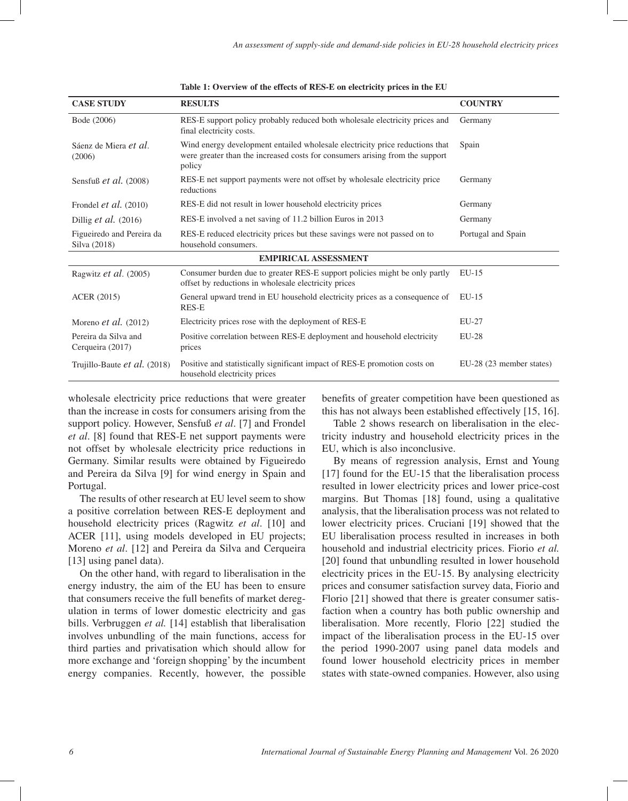| <b>CASE STUDY</b>                         | <b>RESULTS</b>                                                                                                                                                         | <b>COUNTRY</b>           |
|-------------------------------------------|------------------------------------------------------------------------------------------------------------------------------------------------------------------------|--------------------------|
| Bode (2006)                               | RES-E support policy probably reduced both wholesale electricity prices and<br>final electricity costs.                                                                | Germany                  |
| Sáenz de Miera et al.<br>(2006)           | Wind energy development entailed wholesale electricity price reductions that<br>were greater than the increased costs for consumers arising from the support<br>policy | Spain                    |
| Sensfuß $et$ al. (2008)                   | RES-E net support payments were not offset by wholesale electricity price<br>reductions                                                                                | Germany                  |
| Frondel <i>et al.</i> $(2010)$            | RES-E did not result in lower household electricity prices                                                                                                             | Germany                  |
| Dillig $et$ al. (2016)                    | RES-E involved a net saving of 11.2 billion Euros in 2013                                                                                                              | Germany                  |
| Figueiredo and Pereira da<br>Silva (2018) | RES-E reduced electricity prices but these savings were not passed on to<br>household consumers.                                                                       | Portugal and Spain       |
|                                           | <b>EMPIRICAL ASSESSMENT</b>                                                                                                                                            |                          |
| Ragwitz et al. (2005)                     | Consumer burden due to greater RES-E support policies might be only partly<br>offset by reductions in wholesale electricity prices                                     | $EU-15$                  |
| <b>ACER</b> (2015)                        | General upward trend in EU household electricity prices as a consequence of<br>RES-E                                                                                   | $EU-15$                  |
| Moreno <i>et al.</i> $(2012)$             | Electricity prices rose with the deployment of RES-E                                                                                                                   | EU-27                    |
| Pereira da Silva and<br>Cerqueira (2017)  | Positive correlation between RES-E deployment and household electricity<br>prices                                                                                      | $EU-28$                  |
| Trujillo-Baute et al. (2018)              | Positive and statistically significant impact of RES-E promotion costs on<br>household electricity prices                                                              | EU-28 (23 member states) |

**Table 1: Overview of the effects of RES-E on electricity prices in the EU**

wholesale electricity price reductions that were greater than the increase in costs for consumers arising from the support policy. However, Sensfuß *et al*. [7] and Frondel *et al*. [8] found that RES-E net support payments were not offset by wholesale electricity price reductions in Germany. Similar results were obtained by Figueiredo and Pereira da Silva [9] for wind energy in Spain and Portugal.

The results of other research at EU level seem to show a positive correlation between RES-E deployment and household electricity prices (Ragwitz *et al*. [10] and ACER [11], using models developed in EU projects; Moreno *et al*. [12] and Pereira da Silva and Cerqueira [13] using panel data).

On the other hand, with regard to liberalisation in the energy industry, the aim of the EU has been to ensure that consumers receive the full benefits of market deregulation in terms of lower domestic electricity and gas bills. Verbruggen *et al.* [14] establish that liberalisation involves unbundling of the main functions, access for third parties and privatisation which should allow for more exchange and 'foreign shopping' by the incumbent energy companies. Recently, however, the possible benefits of greater competition have been questioned as this has not always been established effectively [15, 16].

Table 2 shows research on liberalisation in the electricity industry and household electricity prices in the EU, which is also inconclusive.

By means of regression analysis, Ernst and Young [17] found for the EU-15 that the liberalisation process resulted in lower electricity prices and lower price-cost margins. But Thomas [18] found, using a qualitative analysis, that the liberalisation process was not related to lower electricity prices. Cruciani [19] showed that the EU liberalisation process resulted in increases in both household and industrial electricity prices. Fiorio *et al.* [20] found that unbundling resulted in lower household electricity prices in the EU-15. By analysing electricity prices and consumer satisfaction survey data, Fiorio and Florio [21] showed that there is greater consumer satisfaction when a country has both public ownership and liberalisation. More recently, Florio [22] studied the impact of the liberalisation process in the EU-15 over the period 1990-2007 using panel data models and found lower household electricity prices in member states with state-owned companies. However, also using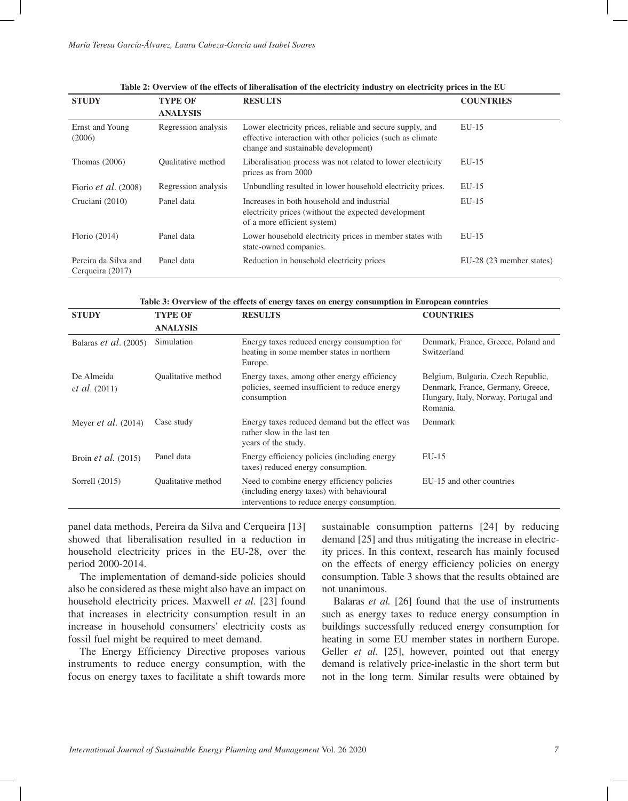| <b>STUDY</b>                             | <b>TYPE OF</b>            | <b>RESULTS</b>                                                                                                                                                 | <b>COUNTRIES</b>         |
|------------------------------------------|---------------------------|----------------------------------------------------------------------------------------------------------------------------------------------------------------|--------------------------|
|                                          | <b>ANALYSIS</b>           |                                                                                                                                                                |                          |
| Ernst and Young<br>(2006)                | Regression analysis       | Lower electricity prices, reliable and secure supply, and<br>effective interaction with other policies (such as climate<br>change and sustainable development) | $EU-15$                  |
| Thomas $(2006)$                          | <b>Oualitative method</b> | Liberalisation process was not related to lower electricity<br>prices as from 2000                                                                             | $EU-15$                  |
| Fiorio <i>et al.</i> $(2008)$            | Regression analysis       | Unbundling resulted in lower household electricity prices.                                                                                                     | $EU-15$                  |
| Cruciani (2010)                          | Panel data                | Increases in both household and industrial<br>electricity prices (without the expected development<br>of a more efficient system)                              | $EU-15$                  |
| Florio $(2014)$                          | Panel data                | Lower household electricity prices in member states with<br>state-owned companies.                                                                             | $EU-15$                  |
| Pereira da Silva and<br>Cerqueira (2017) | Panel data                | Reduction in household electricity prices                                                                                                                      | EU-28 (23 member states) |

**Table 3: Overview of the effects of energy taxes on energy consumption in European countries**

| <b>STUDY</b>                   | <b>TYPE OF</b>            | <b>RESULTS</b>                                                                                                                         | <b>COUNTRIES</b>                                                                                                            |
|--------------------------------|---------------------------|----------------------------------------------------------------------------------------------------------------------------------------|-----------------------------------------------------------------------------------------------------------------------------|
|                                | <b>ANALYSIS</b>           |                                                                                                                                        |                                                                                                                             |
| Balaras <i>et al.</i> $(2005)$ | Simulation                | Energy taxes reduced energy consumption for<br>heating in some member states in northern<br>Europe.                                    | Denmark, France, Greece, Poland and<br>Switzerland                                                                          |
| De Almeida<br>et al. (2011)    | <b>Oualitative method</b> | Energy taxes, among other energy efficiency<br>policies, seemed insufficient to reduce energy<br>consumption                           | Belgium, Bulgaria, Czech Republic,<br>Denmark, France, Germany, Greece,<br>Hungary, Italy, Norway, Portugal and<br>Romania. |
| Meyer <i>et al.</i> $(2014)$   | Case study                | Energy taxes reduced demand but the effect was<br>rather slow in the last ten<br>years of the study.                                   | Denmark                                                                                                                     |
| Broin <i>et al.</i> $(2015)$   | Panel data                | Energy efficiency policies (including energy<br>taxes) reduced energy consumption.                                                     | $EU-15$                                                                                                                     |
| Sorrell $(2015)$               | <b>Oualitative method</b> | Need to combine energy efficiency policies<br>(including energy taxes) with behavioural<br>interventions to reduce energy consumption. | EU-15 and other countries                                                                                                   |
|                                |                           |                                                                                                                                        |                                                                                                                             |

panel data methods, Pereira da Silva and Cerqueira [13] showed that liberalisation resulted in a reduction in household electricity prices in the EU-28, over the period 2000-2014.

The implementation of demand-side policies should also be considered as these might also have an impact on household electricity prices. Maxwell *et al*. [23] found that increases in electricity consumption result in an increase in household consumers' electricity costs as fossil fuel might be required to meet demand.

The Energy Efficiency Directive proposes various instruments to reduce energy consumption, with the focus on energy taxes to facilitate a shift towards more

sustainable consumption patterns [24] by reducing demand [25] and thus mitigating the increase in electricity prices. In this context, research has mainly focused on the effects of energy efficiency policies on energy consumption. Table 3 shows that the results obtained are not unanimous.

Balaras *et al.* [26] found that the use of instruments such as energy taxes to reduce energy consumption in buildings successfully reduced energy consumption for heating in some EU member states in northern Europe. Geller *et al.* [25], however, pointed out that energy demand is relatively price-inelastic in the short term but not in the long term. Similar results were obtained by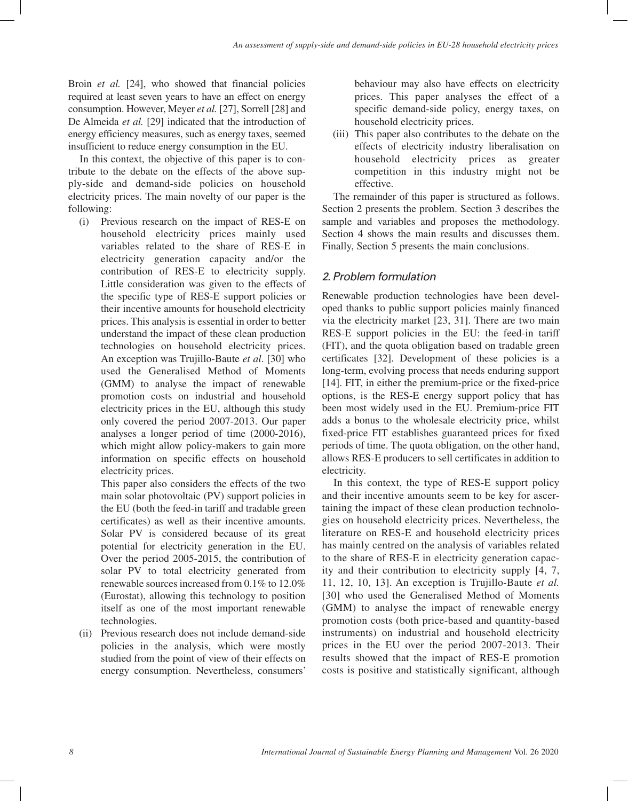Broin *et al.* [24], who showed that financial policies required at least seven years to have an effect on energy consumption. However, Meyer *et al.* [27], Sorrell [28] and De Almeida *et al.* [29] indicated that the introduction of energy efficiency measures, such as energy taxes, seemed insufficient to reduce energy consumption in the EU.

In this context, the objective of this paper is to contribute to the debate on the effects of the above supply-side and demand-side policies on household electricity prices. The main novelty of our paper is the following:

(i) Previous research on the impact of RES-E on household electricity prices mainly used variables related to the share of RES-E in electricity generation capacity and/or the contribution of RES-E to electricity supply. Little consideration was given to the effects of the specific type of RES-E support policies or their incentive amounts for household electricity prices. This analysis is essential in order to better understand the impact of these clean production technologies on household electricity prices. An exception was Trujillo-Baute *et al*. [30] who used the Generalised Method of Moments (GMM) to analyse the impact of renewable promotion costs on industrial and household electricity prices in the EU, although this study only covered the period 2007-2013. Our paper analyses a longer period of time (2000-2016), which might allow policy-makers to gain more information on specific effects on household electricity prices.

This paper also considers the effects of the two main solar photovoltaic (PV) support policies in the EU (both the feed-in tariff and tradable green certificates) as well as their incentive amounts. Solar PV is considered because of its great potential for electricity generation in the EU. Over the period 2005-2015, the contribution of solar PV to total electricity generated from renewable sources increased from 0.1% to 12.0% (Eurostat), allowing this technology to position itself as one of the most important renewable technologies.

(ii) Previous research does not include demand-side policies in the analysis, which were mostly studied from the point of view of their effects on energy consumption. Nevertheless, consumers'

behaviour may also have effects on electricity prices. This paper analyses the effect of a specific demand-side policy, energy taxes, on household electricity prices.

(iii) This paper also contributes to the debate on the effects of electricity industry liberalisation on household electricity prices as greater competition in this industry might not be effective.

The remainder of this paper is structured as follows. Section 2 presents the problem. Section 3 describes the sample and variables and proposes the methodology. Section 4 shows the main results and discusses them. Finally, Section 5 presents the main conclusions.

# *2. Problem formulation*

Renewable production technologies have been developed thanks to public support policies mainly financed via the electricity market [23, 31]. There are two main RES-E support policies in the EU: the feed-in tariff (FIT), and the quota obligation based on tradable green certificates [32]. Development of these policies is a long-term, evolving process that needs enduring support [14]. FIT, in either the premium-price or the fixed-price options, is the RES-E energy support policy that has been most widely used in the EU. Premium-price FIT adds a bonus to the wholesale electricity price, whilst fixed-price FIT establishes guaranteed prices for fixed periods of time. The quota obligation, on the other hand, allows RES-E producers to sell certificates in addition to electricity.

In this context, the type of RES-E support policy and their incentive amounts seem to be key for ascertaining the impact of these clean production technologies on household electricity prices. Nevertheless, the literature on RES-E and household electricity prices has mainly centred on the analysis of variables related to the share of RES-E in electricity generation capacity and their contribution to electricity supply [4, 7, 11, 12, 10, 13]. An exception is Trujillo-Baute *et al.*  [30] who used the Generalised Method of Moments (GMM) to analyse the impact of renewable energy promotion costs (both price-based and quantity-based instruments) on industrial and household electricity prices in the EU over the period 2007-2013. Their results showed that the impact of RES-E promotion costs is positive and statistically significant, although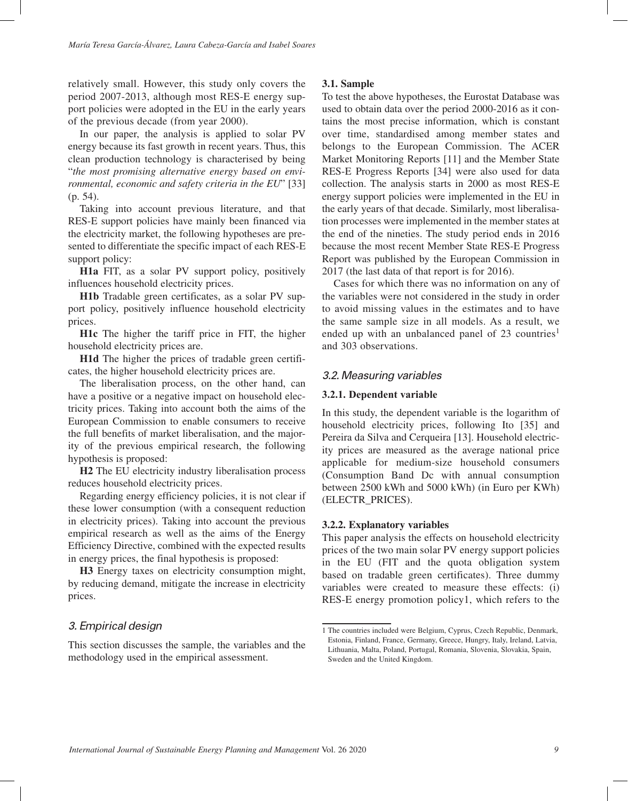relatively small. However, this study only covers the period 2007-2013, although most RES-E energy support policies were adopted in the EU in the early years of the previous decade (from year 2000).

In our paper, the analysis is applied to solar PV energy because its fast growth in recent years. Thus, this clean production technology is characterised by being "*the most promising alternative energy based on environmental, economic and safety criteria in the EU*" [33] (p. 54).

Taking into account previous literature, and that RES-E support policies have mainly been financed via the electricity market, the following hypotheses are presented to differentiate the specific impact of each RES-E support policy:

**H1a** FIT, as a solar PV support policy, positively influences household electricity prices.

**H1b** Tradable green certificates, as a solar PV support policy, positively influence household electricity prices.

**H1c** The higher the tariff price in FIT, the higher household electricity prices are.

**H1d** The higher the prices of tradable green certificates, the higher household electricity prices are.

The liberalisation process, on the other hand, can have a positive or a negative impact on household electricity prices. Taking into account both the aims of the European Commission to enable consumers to receive the full benefits of market liberalisation, and the majority of the previous empirical research, the following hypothesis is proposed:

**H2** The EU electricity industry liberalisation process reduces household electricity prices.

Regarding energy efficiency policies, it is not clear if these lower consumption (with a consequent reduction in electricity prices). Taking into account the previous empirical research as well as the aims of the Energy Efficiency Directive, combined with the expected results in energy prices, the final hypothesis is proposed:

**H3** Energy taxes on electricity consumption might, by reducing demand, mitigate the increase in electricity prices.

# *3. Empirical design*

This section discusses the sample, the variables and the methodology used in the empirical assessment.

### **3.1. Sample**

To test the above hypotheses, the Eurostat Database was used to obtain data over the period 2000-2016 as it contains the most precise information, which is constant over time, standardised among member states and belongs to the European Commission. The ACER Market Monitoring Reports [11] and the Member State RES-E Progress Reports [34] were also used for data collection. The analysis starts in 2000 as most RES-E energy support policies were implemented in the EU in the early years of that decade. Similarly, most liberalisation processes were implemented in the member states at the end of the nineties. The study period ends in 2016 because the most recent Member State RES-E Progress Report was published by the European Commission in 2017 (the last data of that report is for 2016).

Cases for which there was no information on any of the variables were not considered in the study in order to avoid missing values in the estimates and to have the same sample size in all models. As a result, we ended up with an unbalanced panel of  $23$  countries<sup>1</sup> and 303 observations.

### *3.2. Measuring variables*

#### **3.2.1. Dependent variable**

In this study, the dependent variable is the logarithm of household electricity prices, following Ito [35] and Pereira da Silva and Cerqueira [13]. Household electricity prices are measured as the average national price applicable for medium-size household consumers (Consumption Band Dc with annual consumption between 2500 kWh and 5000 kWh) (in Euro per KWh) (ELECTR\_PRICES).

#### **3.2.2. Explanatory variables**

This paper analysis the effects on household electricity prices of the two main solar PV energy support policies in the EU (FIT and the quota obligation system based on tradable green certificates). Three dummy variables were created to measure these effects: (i) RES-E energy promotion policy1, which refers to the

<sup>1</sup> The countries included were Belgium, Cyprus, Czech Republic, Denmark, Estonia, Finland, France, Germany, Greece, Hungry, Italy, Ireland, Latvia, Lithuania, Malta, Poland, Portugal, Romania, Slovenia, Slovakia, Spain, Sweden and the United Kingdom.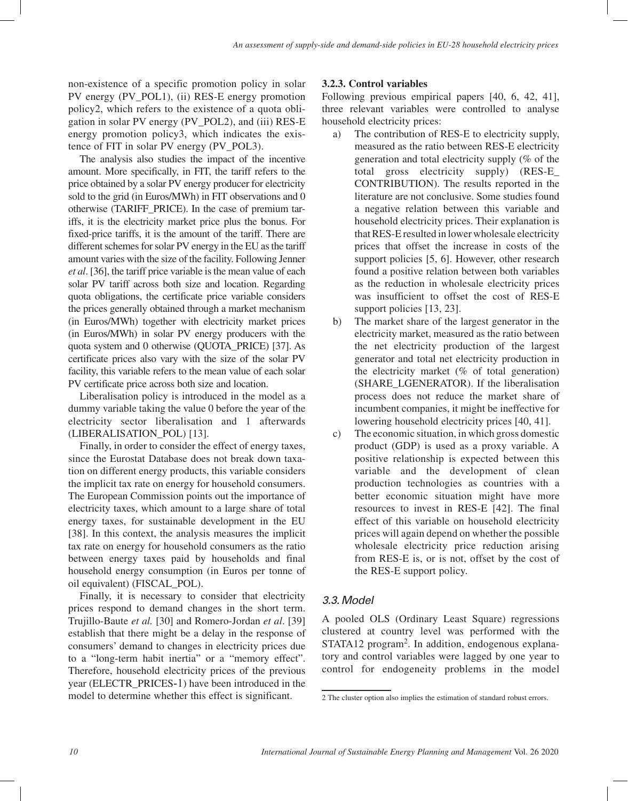non-existence of a specific promotion policy in solar PV energy (PV\_POL1), (ii) RES-E energy promotion policy2, which refers to the existence of a quota obligation in solar PV energy (PV\_POL2), and (iii) RES-E energy promotion policy3, which indicates the existence of FIT in solar PV energy (PV\_POL3).

The analysis also studies the impact of the incentive amount. More specifically, in FIT, the tariff refers to the price obtained by a solar PV energy producer for electricity sold to the grid (in Euros/MWh) in FIT observations and 0 otherwise (TARIFF\_PRICE). In the case of premium tariffs, it is the electricity market price plus the bonus. For fixed-price tariffs, it is the amount of the tariff. There are different schemes for solar PV energy in the EU as the tariff amount varies with the size of the facility. Following Jenner *et al*. [36], the tariff price variable is the mean value of each solar PV tariff across both size and location. Regarding quota obligations, the certificate price variable considers the prices generally obtained through a market mechanism (in Euros/MWh) together with electricity market prices (in Euros/MWh) in solar PV energy producers with the quota system and 0 otherwise (QUOTA\_PRICE) [37]. As certificate prices also vary with the size of the solar PV facility, this variable refers to the mean value of each solar PV certificate price across both size and location.

Liberalisation policy is introduced in the model as a dummy variable taking the value 0 before the year of the electricity sector liberalisation and 1 afterwards (LIBERALISATION\_POL) [13].

Finally, in order to consider the effect of energy taxes, since the Eurostat Database does not break down taxation on different energy products, this variable considers the implicit tax rate on energy for household consumers. The European Commission points out the importance of electricity taxes, which amount to a large share of total energy taxes, for sustainable development in the EU [38]. In this context, the analysis measures the implicit tax rate on energy for household consumers as the ratio between energy taxes paid by households and final household energy consumption (in Euros per tonne of oil equivalent) (FISCAL\_POL).

Finally, it is necessary to consider that electricity prices respond to demand changes in the short term. Trujillo-Baute *et al.* [30] and Romero-Jordan *et al*. [39] establish that there might be a delay in the response of consumers' demand to changes in electricity prices due to a "long-term habit inertia" or a "memory effect". Therefore, household electricity prices of the previous year (ELECTR\_PRICES-1) have been introduced in the model to determine whether this effect is significant.

# **3.2.3. Control variables**

Following previous empirical papers [40, 6, 42, 41], three relevant variables were controlled to analyse household electricity prices:

- a) The contribution of RES-E to electricity supply, measured as the ratio between RES-E electricity generation and total electricity supply (% of the total gross electricity supply) (RES-E\_ CONTRIBUTION). The results reported in the literature are not conclusive. Some studies found a negative relation between this variable and household electricity prices. Their explanation is that RES-E resulted in lower wholesale electricity prices that offset the increase in costs of the support policies [5, 6]. However, other research found a positive relation between both variables as the reduction in wholesale electricity prices was insufficient to offset the cost of RES-E support policies [13, 23].
- b) The market share of the largest generator in the electricity market, measured as the ratio between the net electricity production of the largest generator and total net electricity production in the electricity market  $(\%$  of total generation) (SHARE\_LGENERATOR). If the liberalisation process does not reduce the market share of incumbent companies, it might be ineffective for lowering household electricity prices [40, 41].
- c) The economic situation, in which gross domestic product (GDP) is used as a proxy variable. A positive relationship is expected between this variable and the development of clean production technologies as countries with a better economic situation might have more resources to invest in RES-E [42]. The final effect of this variable on household electricity prices will again depend on whether the possible wholesale electricity price reduction arising from RES-E is, or is not, offset by the cost of the RES-E support policy.

# *3.3. Model*

A pooled OLS (Ordinary Least Square) regressions clustered at country level was performed with the STATA12 program<sup>2</sup>. In addition, endogenous explanatory and control variables were lagged by one year to control for endogeneity problems in the model

<sup>2</sup> The cluster option also implies the estimation of standard robust errors.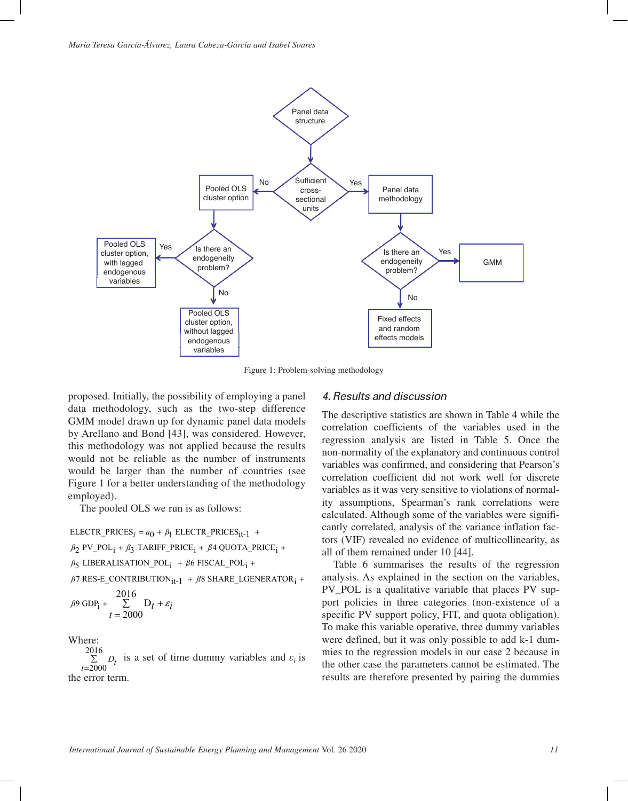

Figure 1: Problem-solving methodology

proposed. Initially, the possibility of employing a panel data methodology, such as the two-step difference GMM model drawn up for dynamic panel data models by Arellano and Bond [43], was considered. However, this methodology was not applied because the results would not be reliable as the number of instruments would be larger than the number of countries (see Figure 1 for a better understanding of the methodology employed).

The pooled OLS we run is as follows:

 $ELECTR\_PRICES_i = a_0 + \beta_1$   $ELECTR\_PRICES_{it-1}$  +

 $\beta_2$  PV\_POL<sub>i</sub> +  $\beta_3$  TARIFF\_PRICE<sub>i</sub> +  $\beta$ 4 QUOTA\_PRICE<sub>i</sub> +

 $\beta_5$  LIBERALISATION\_POL<sub>i</sub> +  $\beta$ 6 FISCAL\_POL<sub>i</sub> +

 $\beta$ 7 RES-E\_CONTRIBUTION $_{\rm{it-1}}$  +  $\beta$ 8 SHARE\_LGENERATOR $_{\rm{i}}$  +

$$
\beta 9 \text{ GDP}_1 + \sum_{t=2000}^{2016} D_t + \varepsilon_i
$$

Where:

2016 2000 *t* =  $D_t$  is a set of time dummy variables and  $\varepsilon_i$  is ∑ the error term.

## *4. Results and discussion*

The descriptive statistics are shown in Table 4 while the correlation coefficients of the variables used in the regression analysis are listed in Table 5. Once the non-normality of the explanatory and continuous control variables was confirmed, and considering that Pearson's correlation coefficient did not work well for discrete variables as it was very sensitive to violations of normality assumptions, Spearman's rank correlations were calculated. Although some of the variables were significantly correlated, analysis of the variance inflation factors (VIF) revealed no evidence of multicollinearity, as all of them remained under 10 [44].

Table 6 summarises the results of the regression analysis. As explained in the section on the variables, PV POL is a qualitative variable that places PV support policies in three categories (non-existence of a specific PV support policy, FIT, and quota obligation). To make this variable operative, three dummy variables were defined, but it was only possible to add k-1 dummies to the regression models in our case 2 because in the other case the parameters cannot be estimated. The results are therefore presented by pairing the dummies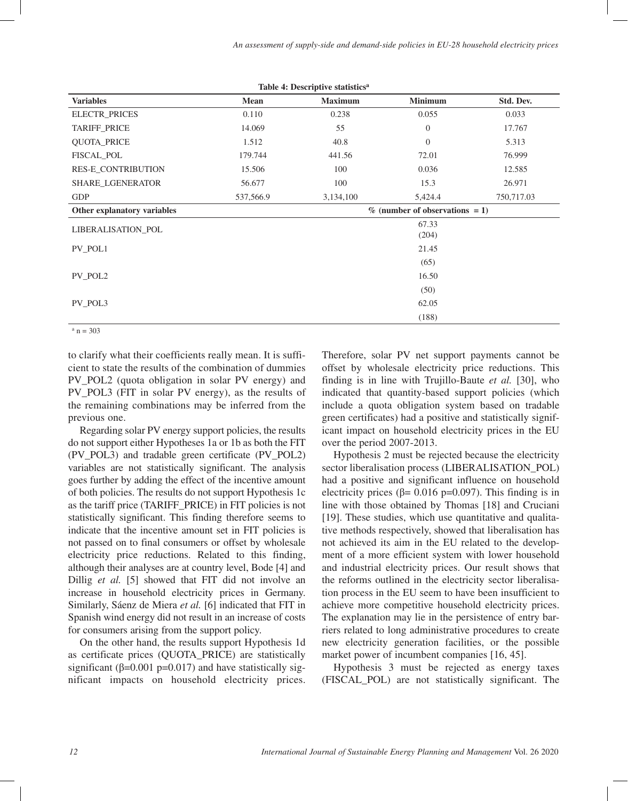| <b>Variables</b>            | Mean      | $\cdots$<br><b>Maximum</b> | <b>Minimum</b>                    | Std. Dev.  |
|-----------------------------|-----------|----------------------------|-----------------------------------|------------|
| ELECTR_PRICES               | 0.110     | 0.238                      | 0.055                             | 0.033      |
| TARIFF_PRICE                | 14.069    | 55                         | $\overline{0}$                    | 17.767     |
| <b>QUOTA_PRICE</b>          | 1.512     | 40.8                       | $\theta$                          | 5.313      |
| FISCAL_POL                  | 179.744   | 441.56                     | 72.01                             | 76.999     |
| RES-E_CONTRIBUTION          | 15.506    | 100                        | 0.036                             | 12.585     |
| SHARE_LGENERATOR            | 56.677    | 100                        | 15.3                              | 26.971     |
| <b>GDP</b>                  | 537,566.9 | 3,134,100                  | 5,424.4                           | 750,717.03 |
| Other explanatory variables |           |                            | $\%$ (number of observations = 1) |            |
| <b>LIBERALISATION POL</b>   |           |                            | 67.33                             |            |
|                             |           |                            | (204)                             |            |
| PV POL1                     |           |                            | 21.45                             |            |
|                             |           |                            | (65)                              |            |
| PV POL2                     |           |                            | 16.50                             |            |
|                             |           |                            | (50)                              |            |
| PV POL3                     |           |                            | 62.05                             |            |
|                             |           |                            | (188)                             |            |

**Table 4: Descriptive statisticsa**

 $a_n = 303$ 

to clarify what their coefficients really mean. It is sufficient to state the results of the combination of dummies PV\_POL2 (quota obligation in solar PV energy) and PV\_POL3 (FIT in solar PV energy), as the results of the remaining combinations may be inferred from the previous one.

Regarding solar PV energy support policies, the results do not support either Hypotheses 1a or 1b as both the FIT (PV\_POL3) and tradable green certificate (PV\_POL2) variables are not statistically significant. The analysis goes further by adding the effect of the incentive amount of both policies. The results do not support Hypothesis 1c as the tariff price (TARIFF\_PRICE) in FIT policies is not statistically significant. This finding therefore seems to indicate that the incentive amount set in FIT policies is not passed on to final consumers or offset by wholesale electricity price reductions. Related to this finding, although their analyses are at country level, Bode [4] and Dillig *et al.* [5] showed that FIT did not involve an increase in household electricity prices in Germany. Similarly, Sáenz de Miera *et al.* [6] indicated that FIT in Spanish wind energy did not result in an increase of costs for consumers arising from the support policy.

On the other hand, the results support Hypothesis 1d as certificate prices (QUOTA\_PRICE) are statistically significant ( $\beta$ =0.001 p=0.017) and have statistically significant impacts on household electricity prices. Therefore, solar PV net support payments cannot be offset by wholesale electricity price reductions. This finding is in line with Trujillo-Baute *et al.* [30], who indicated that quantity-based support policies (which include a quota obligation system based on tradable green certificates) had a positive and statistically significant impact on household electricity prices in the EU over the period 2007-2013.

Hypothesis 2 must be rejected because the electricity sector liberalisation process (LIBERALISATION\_POL) had a positive and significant influence on household electricity prices ( $\beta$ = 0.016 p=0.097). This finding is in line with those obtained by Thomas [18] and Cruciani [19]. These studies, which use quantitative and qualitative methods respectively, showed that liberalisation has not achieved its aim in the EU related to the development of a more efficient system with lower household and industrial electricity prices. Our result shows that the reforms outlined in the electricity sector liberalisation process in the EU seem to have been insufficient to achieve more competitive household electricity prices. The explanation may lie in the persistence of entry barriers related to long administrative procedures to create new electricity generation facilities, or the possible market power of incumbent companies [16, 45].

Hypothesis 3 must be rejected as energy taxes (FISCAL\_POL) are not statistically significant. The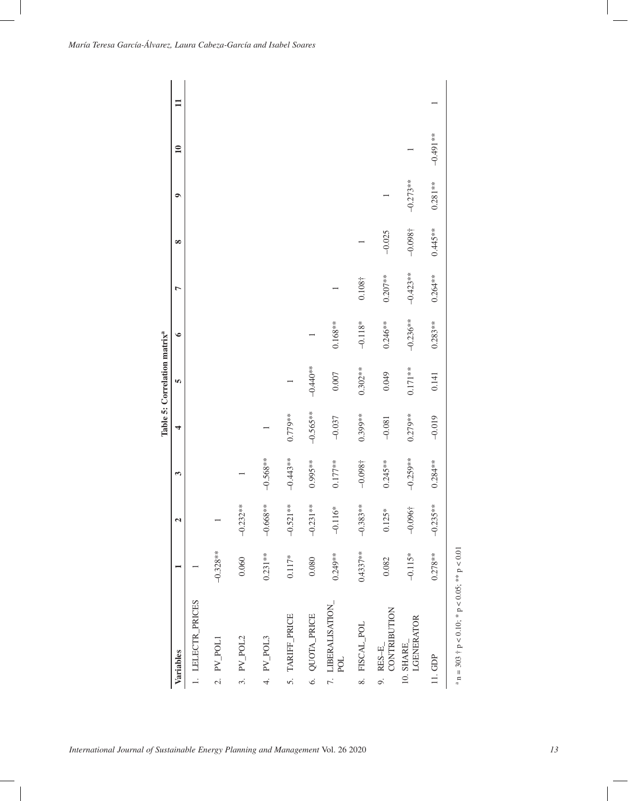|                                                           |            |                      |            |            | Table 5: Correlation matrix <sup>a</sup> |            |            |            |            |                 |              |
|-----------------------------------------------------------|------------|----------------------|------------|------------|------------------------------------------|------------|------------|------------|------------|-----------------|--------------|
| Variables                                                 |            | $\mathbf{\tilde{c}}$ | 3          | 4          | ĩΩ,                                      | $\bullet$  | Ļ          | $\infty$   | $\bullet$  | $\overline{10}$ | $\mathbf{I}$ |
| 1. LELECTR_PRICES                                         |            |                      |            |            |                                          |            |            |            |            |                 |              |
| PV_POL1<br>$\overline{c}$                                 | $-0.328**$ |                      |            |            |                                          |            |            |            |            |                 |              |
| PV_POL2<br>3.                                             | 0.060      | $-0.232**$           |            |            |                                          |            |            |            |            |                 |              |
| 4. PV_POL3                                                | $0.231**$  | $-0.668**$           | $-0.568**$ |            |                                          |            |            |            |            |                 |              |
| 5. TARIFF_PRICE                                           | $0.117*$   | $-0.521**$           | $-0.443**$ | $0.779**$  |                                          |            |            |            |            |                 |              |
| 6. QUOTA_PRICE                                            | 0.080      | $-0.231**$           | $0.995**$  | $-0.565**$ | $-0.440**$                               |            |            |            |            |                 |              |
| 7. LIBERALISATION_<br>POL                                 | $0.249**$  | $-0.116*$            | $0.177**$  | $-0.037$   | $0.007$                                  | $0.168**$  |            |            |            |                 |              |
| 8. FISCAL_POL                                             | $0.4337**$ | $-0.383**$           | $-0.098 +$ | $0.399**$  | $0.302**$                                | $-0.118*$  | $0.108+$   |            |            |                 |              |
| CONTRIBUTION<br>$9.$ RES-E                                | 0.082      | $0.125*$             | $0.245**$  | $-0.081$   | 0.049                                    | $0.246**$  | $0.207**$  | $-0.025$   |            |                 |              |
| LGENERATOR<br>10. SHARE                                   | $-0.115*$  | $-0.096$ †           | $-0.259**$ | $0.279**$  | $0.171**$                                | $-0.236**$ | $-0.423**$ | $-0.098$ † | $-0.273**$ |                 |              |
| 11. GDP                                                   | $0.278**$  | $-0.235**$           | $0.284**$  | $-0.019$   | 0.141                                    | $0.283**$  | $0.264**$  | $0.445**$  | $0.281**$  | $-0.491**$      |              |
| $a n = 303 \t{b} p < 0.10$ ; * $p < 0.05$ ; ** $p < 0.01$ |            |                      |            |            |                                          |            |            |            |            |                 |              |

*International Journal of Sustainable Energy Planning and Management* Vol. 26 2020 *13*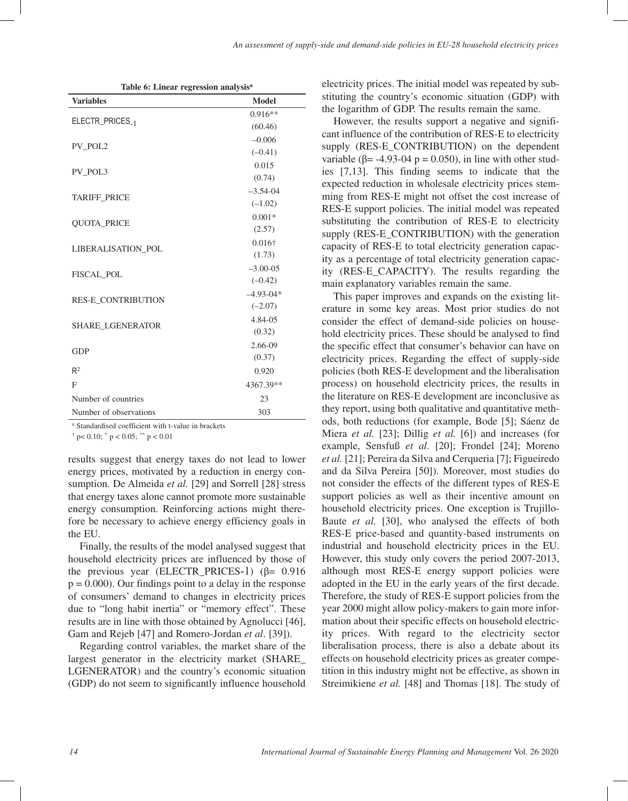| <b>Variables</b>          | <b>Model</b>   |
|---------------------------|----------------|
|                           | $0.916**$      |
| ELECTR_PRICES_1           | (60.46)        |
| PV POL2                   | $-0.006$       |
|                           | $(-0.41)$      |
| PV POL3                   | 0.015          |
|                           | (0.74)         |
| <b>TARIFF PRICE</b>       | $-3.54 - 04$   |
|                           | $(-1.02)$      |
| <b>QUOTA_PRICE</b>        | $0.001*$       |
|                           | (2.57)         |
| <b>LIBERALISATION POL</b> | $0.016\dagger$ |
|                           | (1.73)         |
| <b>FISCAL POL</b>         | $-3.00-05$     |
|                           | $(-0.42)$      |
| <b>RES-E_CONTRIBUTION</b> | $-4.93 - 04*$  |
|                           | $(-2.07)$      |
| <b>SHARE LGENERATOR</b>   | 4.84-05        |
|                           | (0.32)         |
| <b>GDP</b>                | 2.66-09        |
|                           | (0.37)         |
| R <sup>2</sup>            | 0.920          |
| F                         | 4367.39**      |
| Number of countries       | 23             |
| Number of observations    | 303            |

a Standardised coefficient with t-value in brackets

 $\uparrow$  p < 0.10;  $\uparrow$  p < 0.05;  $\uparrow$  p < 0.01

results suggest that energy taxes do not lead to lower energy prices, motivated by a reduction in energy consumption. De Almeida *et al.* [29] and Sorrell [28] stress that energy taxes alone cannot promote more sustainable energy consumption. Reinforcing actions might therefore be necessary to achieve energy efficiency goals in the EU.

Finally, the results of the model analysed suggest that household electricity prices are influenced by those of the previous year (ELECTR\_PRICES-1) (β=  $0.916$ )  $p = 0.000$ . Our findings point to a delay in the response of consumers' demand to changes in electricity prices due to "long habit inertia" or "memory effect". These results are in line with those obtained by Agnolucci [46], Gam and Rejeb [47] and Romero-Jordan *et al*. [39]).

Regarding control variables, the market share of the largest generator in the electricity market (SHARE\_ LGENERATOR) and the country's economic situation (GDP) do not seem to significantly influence household

electricity prices. The initial model was repeated by substituting the country's economic situation (GDP) with the logarithm of GDP. The results remain the same.

However, the results support a negative and significant influence of the contribution of RES-E to electricity supply (RES-E\_CONTRIBUTION) on the dependent variable ( $\beta$ = -4.93-04 p = 0.050), in line with other studies [7,13]. This finding seems to indicate that the expected reduction in wholesale electricity prices stemming from RES-E might not offset the cost increase of RES-E support policies. The initial model was repeated substituting the contribution of RES-E to electricity supply (RES-E\_CONTRIBUTION) with the generation capacity of RES-E to total electricity generation capacity as a percentage of total electricity generation capacity (RES-E\_CAPACITY). The results regarding the main explanatory variables remain the same.

This paper improves and expands on the existing literature in some key areas. Most prior studies do not consider the effect of demand-side policies on household electricity prices. These should be analysed to find the specific effect that consumer's behavior can have on electricity prices. Regarding the effect of supply-side policies (both RES-E development and the liberalisation process) on household electricity prices, the results in the literature on RES-E development are inconclusive as they report, using both qualitative and quantitative methods, both reductions (for example, Bode [5]; Sáenz de Miera *et al.* [23]; Dillig *et al.* [6]) and increases (for example, Sensfuß *et al*. [20]; Frondel [24]; Moreno *et al.* [21]; Pereira da Silva and Cerqueria [7]; Figueiredo and da Silva Pereira [50]). Moreover, most studies do not consider the effects of the different types of RES-E support policies as well as their incentive amount on household electricity prices. One exception is Trujillo-Baute *et al.* [30], who analysed the effects of both RES-E price-based and quantity-based instruments on industrial and household electricity prices in the EU. However, this study only covers the period 2007-2013, although most RES-E energy support policies were adopted in the EU in the early years of the first decade. Therefore, the study of RES-E support policies from the year 2000 might allow policy-makers to gain more information about their specific effects on household electricity prices. With regard to the electricity sector liberalisation process, there is also a debate about its effects on household electricity prices as greater competition in this industry might not be effective, as shown in Streimikiene *et al.* [48] and Thomas [18]. The study of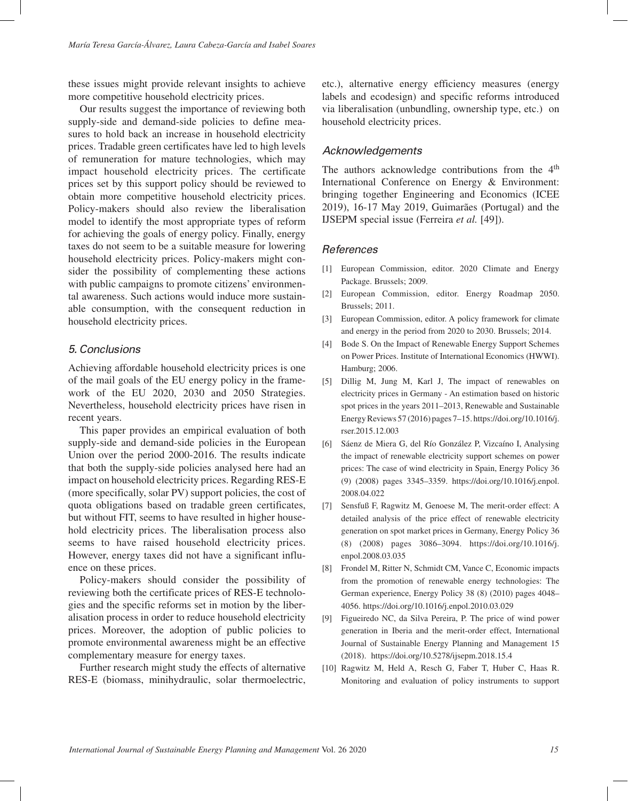these issues might provide relevant insights to achieve more competitive household electricity prices.

Our results suggest the importance of reviewing both supply-side and demand-side policies to define measures to hold back an increase in household electricity prices. Tradable green certificates have led to high levels of remuneration for mature technologies, which may impact household electricity prices. The certificate prices set by this support policy should be reviewed to obtain more competitive household electricity prices. Policy-makers should also review the liberalisation model to identify the most appropriate types of reform for achieving the goals of energy policy. Finally, energy taxes do not seem to be a suitable measure for lowering household electricity prices. Policy-makers might consider the possibility of complementing these actions with public campaigns to promote citizens' environmental awareness. Such actions would induce more sustainable consumption, with the consequent reduction in household electricity prices.

# *5. Conclusions*

Achieving affordable household electricity prices is one of the mail goals of the EU energy policy in the framework of the EU 2020, 2030 and 2050 Strategies. Nevertheless, household electricity prices have risen in recent years.

This paper provides an empirical evaluation of both supply-side and demand-side policies in the European Union over the period 2000-2016. The results indicate that both the supply-side policies analysed here had an impact on household electricity prices. Regarding RES-E (more specifically, solar PV) support policies, the cost of quota obligations based on tradable green certificates, but without FIT, seems to have resulted in higher household electricity prices. The liberalisation process also seems to have raised household electricity prices. However, energy taxes did not have a significant influence on these prices.

Policy-makers should consider the possibility of reviewing both the certificate prices of RES-E technologies and the specific reforms set in motion by the liberalisation process in order to reduce household electricity prices. Moreover, the adoption of public policies to promote environmental awareness might be an effective complementary measure for energy taxes.

Further research might study the effects of alternative RES-E (biomass, minihydraulic, solar thermoelectric,

etc.), alternative energy efficiency measures (energy labels and ecodesign) and specific reforms introduced via liberalisation (unbundling, ownership type, etc.) on household electricity prices.

# *Acknowledgements*

The authors acknowledge contributions from the 4<sup>th</sup> International Conference on Energy & Environment: bringing together Engineering and Economics (ICEE 2019), 16-17 May 2019, Guimarães (Portugal) and the IJSEPM special issue (Ferreira *et al.* [49]).

## *References*

- [1] European Commission, editor. 2020 Climate and Energy Package. Brussels; 2009.
- [2] European Commission, editor. Energy Roadmap 2050. Brussels; 2011.
- [3] European Commission, editor. A policy framework for climate and energy in the period from 2020 to 2030. Brussels; 2014.
- [4] Bode S. On the Impact of Renewable Energy Support Schemes on Power Prices. Institute of International Economics (HWWI). Hamburg; 2006.
- [5] Dillig M, Jung M, Karl J, The impact of renewables on electricity prices in Germany - An estimation based on historic spot prices in the years 2011–2013, Renewable and Sustainable Energy Reviews 57 (2016) pages 7–15. https://doi.org/10.1016/j. rser.2015.12.003
- [6] Sáenz de Miera G, del Río González P, Vizcaíno I, Analysing the impact of renewable electricity support schemes on power prices: The case of wind electricity in Spain, Energy Policy 36 (9) (2008) pages 3345–3359. https://doi.org/10.1016/j.enpol. 2008.04.022
- [7] Sensfuß F, Ragwitz M, Genoese M, The merit-order effect: A detailed analysis of the price effect of renewable electricity generation on spot market prices in Germany, Energy Policy 36 (8) (2008) pages 3086–3094. https://doi.org/10.1016/j. enpol.2008.03.035
- [8] Frondel M, Ritter N, Schmidt CM, Vance C, Economic impacts from the promotion of renewable energy technologies: The German experience, Energy Policy 38 (8) (2010) pages 4048– 4056. https://doi.org/10.1016/j.enpol.2010.03.029
- [9] Figueiredo NC, da Silva Pereira, P. The price of wind power generation in Iberia and the merit-order effect, International Journal of Sustainable Energy Planning and Management 15 (2018). https://doi.org/10.5278/ijsepm.2018.15.4
- [10] Ragwitz M, Held A, Resch G, Faber T, Huber C, Haas R. Monitoring and evaluation of policy instruments to support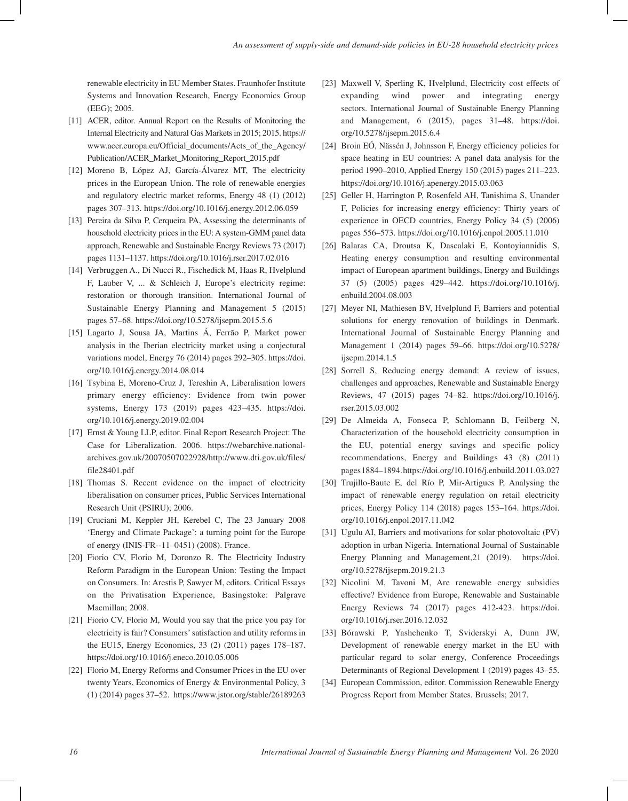renewable electricity in EU Member States. Fraunhofer Institute Systems and Innovation Research, Energy Economics Group (EEG); 2005.

- [11] ACER, editor. Annual Report on the Results of Monitoring the Internal Electricity and Natural Gas Markets in 2015; 2015. https:// www.acer.europa.eu/Official\_documents/Acts\_of\_the\_Agency/ Publication/ACER\_Market\_Monitoring\_Report\_2015.pdf
- [12] Moreno B, López AJ, García-Álvarez MT, The electricity prices in the European Union. The role of renewable energies and regulatory electric market reforms, Energy 48 (1) (2012) pages 307–313. https://doi.org/10.1016/j.energy.2012.06.059
- [13] Pereira da Silva P, Cerqueira PA, Assessing the determinants of household electricity prices in the EU: A system-GMM panel data approach, Renewable and Sustainable Energy Reviews 73 (2017) pages 1131–1137. https://doi.org/10.1016/j.rser.2017.02.016
- [14] Verbruggen A., Di Nucci R., Fischedick M, Haas R, Hvelplund F, Lauber V, ... & Schleich J, Europe's electricity regime: restoration or thorough transition. International Journal of Sustainable Energy Planning and Management 5 (2015) pages 57–68. https://doi.org/10.5278/ijsepm.2015.5.6
- [15] Lagarto J, Sousa JA, Martins Á, Ferrão P, Market power analysis in the Iberian electricity market using a conjectural variations model, Energy 76 (2014) pages 292–305. https://doi. org/10.1016/j.energy.2014.08.014
- [16] Tsybina E, Moreno-Cruz J, Tereshin A, Liberalisation lowers primary energy efficiency: Evidence from twin power systems, Energy 173 (2019) pages 423–435. https://doi. org/10.1016/j.energy.2019.02.004
- [17] Ernst & Young LLP, editor. Final Report Research Project: The Case for Liberalization. 2006. https://webarchive.nationalarchives.gov.uk/20070507022928/http://www.dti.gov.uk/files/ file28401.pdf
- [18] Thomas S. Recent evidence on the impact of electricity liberalisation on consumer prices, Public Services International Research Unit (PSIRU); 2006.
- [19] Cruciani M, Keppler JH, Kerebel C, The 23 January 2008 'Energy and Climate Package': a turning point for the Europe of energy (INIS-FR--11–0451) (2008). France.
- [20] Fiorio CV, Florio M, Doronzo R. The Electricity Industry Reform Paradigm in the European Union: Testing the Impact on Consumers. In: Arestis P, Sawyer M, editors. Critical Essays on the Privatisation Experience, Basingstoke: Palgrave Macmillan; 2008.
- [21] Fiorio CV, Florio M, Would you say that the price you pay for electricity is fair? Consumers' satisfaction and utility reforms in the EU15, Energy Economics, 33 (2) (2011) pages 178–187. https://doi.org/10.1016/j.eneco.2010.05.006
- [22] Florio M, Energy Reforms and Consumer Prices in the EU over twenty Years, Economics of Energy & Environmental Policy, 3 (1) (2014) pages 37–52. https://www.jstor.org/stable/26189263
- [23] Maxwell V, Sperling K, Hvelplund, Electricity cost effects of expanding wind power and integrating energy sectors. International Journal of Sustainable Energy Planning and Management, 6 (2015), pages 31–48. https://doi. org/10.5278/ijsepm.2015.6.4
- [24] Broin EÓ, Nässén J, Johnsson F, Energy efficiency policies for space heating in EU countries: A panel data analysis for the period 1990–2010, Applied Energy 150 (2015) pages 211–223. https://doi.org/10.1016/j.apenergy.2015.03.063
- [25] Geller H, Harrington P, Rosenfeld AH, Tanishima S, Unander F, Policies for increasing energy efficiency: Thirty years of experience in OECD countries, Energy Policy 34 (5) (2006) pages 556–573. https://doi.org/10.1016/j.enpol.2005.11.010
- [26] Balaras CA, Droutsa K, Dascalaki E, Kontoyiannidis S, Heating energy consumption and resulting environmental impact of European apartment buildings, Energy and Buildings 37 (5) (2005) pages 429–442. https://doi.org/10.1016/j. enbuild.2004.08.003
- [27] Meyer NI, Mathiesen BV, Hvelplund F, Barriers and potential solutions for energy renovation of buildings in Denmark. International Journal of Sustainable Energy Planning and Management 1 (2014) pages 59–66. https://doi.org/10.5278/ ijsepm.2014.1.5
- [28] Sorrell S, Reducing energy demand: A review of issues, challenges and approaches, Renewable and Sustainable Energy Reviews, 47 (2015) pages 74–82. https://doi.org/10.1016/j. rser.2015.03.002
- [29] De Almeida A, Fonseca P, Schlomann B, Feilberg N, Characterization of the household electricity consumption in the EU, potential energy savings and specific policy recommendations, Energy and Buildings 43 (8) (2011) pages 1884–1894. https://doi.org/10.1016/j.enbuild.2011.03.027
- [30] Trujillo-Baute E, del Río P, Mir-Artigues P, Analysing the impact of renewable energy regulation on retail electricity prices, Energy Policy 114 (2018) pages 153–164. https://doi. org/10.1016/j.enpol.2017.11.042
- [31] Ugulu AI, Barriers and motivations for solar photovoltaic (PV) adoption in urban Nigeria. International Journal of Sustainable Energy Planning and Management,21 (2019). https://doi. org/10.5278/ijsepm.2019.21.3
- [32] Nicolini M, Tavoni M, Are renewable energy subsidies effective? Evidence from Europe, Renewable and Sustainable Energy Reviews 74 (2017) pages 412-423. https://doi. org/10.1016/j.rser.2016.12.032
- [33] Bórawski P, Yashchenko T, Sviderskyi A, Dunn JW, Development of renewable energy market in the EU with particular regard to solar energy, Conference Proceedings Determinants of Regional Development 1 (2019) pages 43–55.
- [34] European Commission, editor. Commission Renewable Energy Progress Report from Member States. Brussels; 2017.